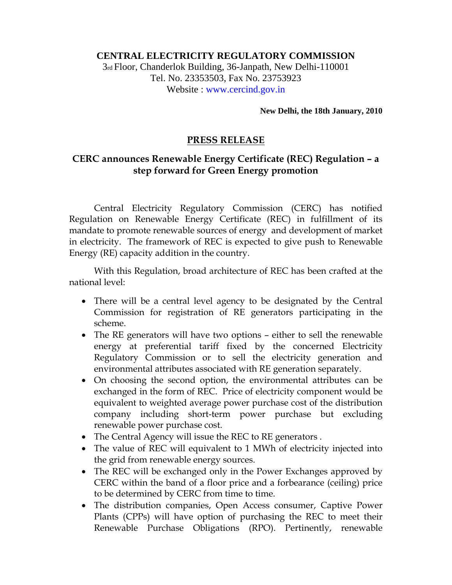## **CENTRAL ELECTRICITY REGULATORY COMMISSION**

3rd Floor, Chanderlok Building, 36-Janpath, New Delhi-110001 Tel. No. 23353503, Fax No. 23753923 Website : www.cercind.gov.in

**New Delhi, the 18th January, 2010** 

## **PRESS RELEASE**

## **CERC announces Renewable Energy Certificate (REC) Regulation – a step forward for Green Energy promotion**

Central Electricity Regulatory Commission (CERC) has notified Regulation on Renewable Energy Certificate (REC) in fulfillment of its mandate to promote renewable sources of energy and development of market in electricity. The framework of REC is expected to give push to Renewable Energy (RE) capacity addition in the country.

 With this Regulation, broad architecture of REC has been crafted at the national level:

- There will be a central level agency to be designated by the Central Commission for registration of RE generators participating in the scheme.
- The RE generators will have two options either to sell the renewable energy at preferential tariff fixed by the concerned Electricity Regulatory Commission or to sell the electricity generation and environmental attributes associated with RE generation separately.
- On choosing the second option, the environmental attributes can be exchanged in the form of REC. Price of electricity component would be equivalent to weighted average power purchase cost of the distribution company including short-term power purchase but excluding renewable power purchase cost.
- The Central Agency will issue the REC to RE generators .
- The value of REC will equivalent to 1 MWh of electricity injected into the grid from renewable energy sources.
- The REC will be exchanged only in the Power Exchanges approved by CERC within the band of a floor price and a forbearance (ceiling) price to be determined by CERC from time to time.
- The distribution companies, Open Access consumer, Captive Power Plants (CPPs) will have option of purchasing the REC to meet their Renewable Purchase Obligations (RPO). Pertinently, renewable